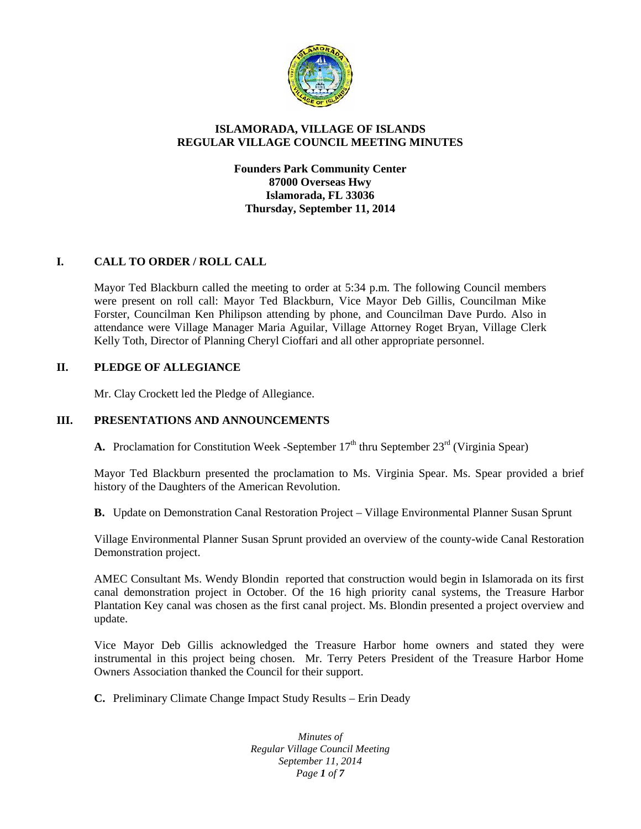

## **ISLAMORADA, VILLAGE OF ISLANDS REGULAR VILLAGE COUNCIL MEETING MINUTES**

**Founders Park Community Center 87000 Overseas Hwy Islamorada, FL 33036 Thursday, September 11, 2014**

# **I. CALL TO ORDER / ROLL CALL**

Mayor Ted Blackburn called the meeting to order at 5:34 p.m. The following Council members were present on roll call: Mayor Ted Blackburn, Vice Mayor Deb Gillis, Councilman Mike Forster, Councilman Ken Philipson attending by phone, and Councilman Dave Purdo. Also in attendance were Village Manager Maria Aguilar, Village Attorney Roget Bryan, Village Clerk Kelly Toth, Director of Planning Cheryl Cioffari and all other appropriate personnel.

### **II. PLEDGE OF ALLEGIANCE**

Mr. Clay Crockett led the Pledge of Allegiance.

## **III. PRESENTATIONS AND ANNOUNCEMENTS**

**A.** Proclamation for Constitution Week -September  $17<sup>th</sup>$  thru September  $23<sup>rd</sup>$  (Virginia Spear)

Mayor Ted Blackburn presented the proclamation to Ms. Virginia Spear. Ms. Spear provided a brief history of the Daughters of the American Revolution.

**B.** Update on Demonstration Canal Restoration Project – Village Environmental Planner Susan Sprunt

Village Environmental Planner Susan Sprunt provided an overview of the county-wide Canal Restoration Demonstration project.

AMEC Consultant Ms. Wendy Blondin reported that construction would begin in Islamorada on its first canal demonstration project in October. Of the 16 high priority canal systems, the Treasure Harbor Plantation Key canal was chosen as the first canal project. Ms. Blondin presented a project overview and update.

Vice Mayor Deb Gillis acknowledged the Treasure Harbor home owners and stated they were instrumental in this project being chosen. Mr. Terry Peters President of the Treasure Harbor Home Owners Association thanked the Council for their support.

**C.** Preliminary Climate Change Impact Study Results – Erin Deady

*Minutes of Regular Village Council Meeting September 11, 2014 Page 1 of 7*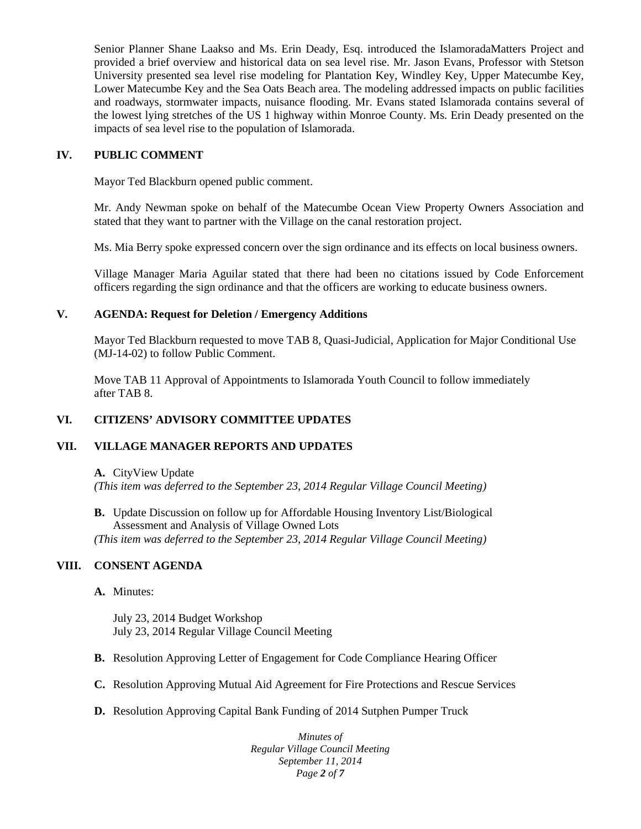Senior Planner Shane Laakso and Ms. Erin Deady, Esq. introduced the IslamoradaMatters Project and provided a brief overview and historical data on sea level rise. Mr. Jason Evans, Professor with Stetson University presented sea level rise modeling for Plantation Key, Windley Key, Upper Matecumbe Key, Lower Matecumbe Key and the Sea Oats Beach area. The modeling addressed impacts on public facilities and roadways, stormwater impacts, nuisance flooding. Mr. Evans stated Islamorada contains several of the lowest lying stretches of the US 1 highway within Monroe County. Ms. Erin Deady presented on the impacts of sea level rise to the population of Islamorada.

## **IV. PUBLIC COMMENT**

Mayor Ted Blackburn opened public comment.

Mr. Andy Newman spoke on behalf of the Matecumbe Ocean View Property Owners Association and stated that they want to partner with the Village on the canal restoration project.

Ms. Mia Berry spoke expressed concern over the sign ordinance and its effects on local business owners.

Village Manager Maria Aguilar stated that there had been no citations issued by Code Enforcement officers regarding the sign ordinance and that the officers are working to educate business owners.

## **V. AGENDA: Request for Deletion / Emergency Additions**

Mayor Ted Blackburn requested to move TAB 8, Quasi-Judicial, Application for Major Conditional Use (MJ-14-02) to follow Public Comment.

Move TAB 11 Approval of Appointments to Islamorada Youth Council to follow immediately after TAB 8.

# **VI. CITIZENS' ADVISORY COMMITTEE UPDATES**

# **VII. VILLAGE MANAGER REPORTS AND UPDATES**

**A.** CityView Update *(This item was deferred to the September 23, 2014 Regular Village Council Meeting)*

**B.** Update Discussion on follow up for Affordable Housing Inventory List/Biological Assessment and Analysis of Village Owned Lots *(This item was deferred to the September 23, 2014 Regular Village Council Meeting)*

# **VIII. CONSENT AGENDA**

### **A.** Minutes:

July 23, 2014 Budget Workshop July 23, 2014 Regular Village Council Meeting

- **B.** Resolution Approving Letter of Engagement for Code Compliance Hearing Officer
- **C.** Resolution Approving Mutual Aid Agreement for Fire Protections and Rescue Services
- **D.** Resolution Approving Capital Bank Funding of 2014 Sutphen Pumper Truck

*Minutes of Regular Village Council Meeting September 11, 2014 Page 2 of 7*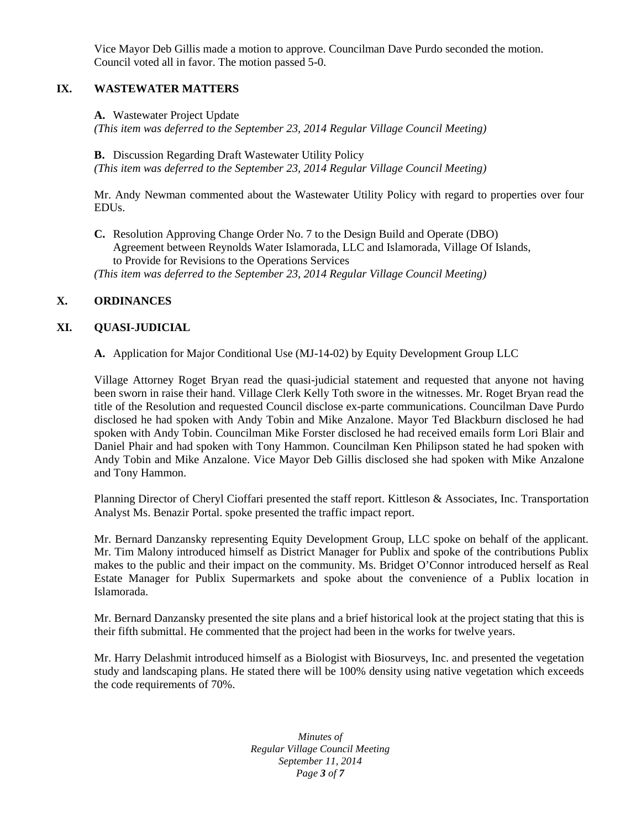Vice Mayor Deb Gillis made a motion to approve. Councilman Dave Purdo seconded the motion. Council voted all in favor. The motion passed 5-0.

## **IX. WASTEWATER MATTERS**

**A.** Wastewater Project Update

*(This item was deferred to the September 23, 2014 Regular Village Council Meeting)*

**B.** Discussion Regarding Draft Wastewater Utility Policy *(This item was deferred to the September 23, 2014 Regular Village Council Meeting)*

Mr. Andy Newman commented about the Wastewater Utility Policy with regard to properties over four EDUs.

**C.** Resolution Approving Change Order No. 7 to the Design Build and Operate (DBO) Agreement between Reynolds Water Islamorada, LLC and Islamorada, Village Of Islands, to Provide for Revisions to the Operations Services *(This item was deferred to the September 23, 2014 Regular Village Council Meeting)*

## **X. ORDINANCES**

### **XI. QUASI-JUDICIAL**

**A.** Application for Major Conditional Use (MJ-14-02) by Equity Development Group LLC

Village Attorney Roget Bryan read the quasi-judicial statement and requested that anyone not having been sworn in raise their hand. Village Clerk Kelly Toth swore in the witnesses. Mr. Roget Bryan read the title of the Resolution and requested Council disclose ex-parte communications. Councilman Dave Purdo disclosed he had spoken with Andy Tobin and Mike Anzalone. Mayor Ted Blackburn disclosed he had spoken with Andy Tobin. Councilman Mike Forster disclosed he had received emails form Lori Blair and Daniel Phair and had spoken with Tony Hammon. Councilman Ken Philipson stated he had spoken with Andy Tobin and Mike Anzalone. Vice Mayor Deb Gillis disclosed she had spoken with Mike Anzalone and Tony Hammon.

Planning Director of Cheryl Cioffari presented the staff report. Kittleson & Associates, Inc. Transportation Analyst Ms. Benazir Portal. spoke presented the traffic impact report.

Mr. Bernard Danzansky representing Equity Development Group, LLC spoke on behalf of the applicant. Mr. Tim Malony introduced himself as District Manager for Publix and spoke of the contributions Publix makes to the public and their impact on the community. Ms. Bridget O'Connor introduced herself as Real Estate Manager for Publix Supermarkets and spoke about the convenience of a Publix location in Islamorada.

Mr. Bernard Danzansky presented the site plans and a brief historical look at the project stating that this is their fifth submittal. He commented that the project had been in the works for twelve years.

Mr. Harry Delashmit introduced himself as a Biologist with Biosurveys, Inc. and presented the vegetation study and landscaping plans. He stated there will be 100% density using native vegetation which exceeds the code requirements of 70%.

> *Minutes of Regular Village Council Meeting September 11, 2014 Page 3 of 7*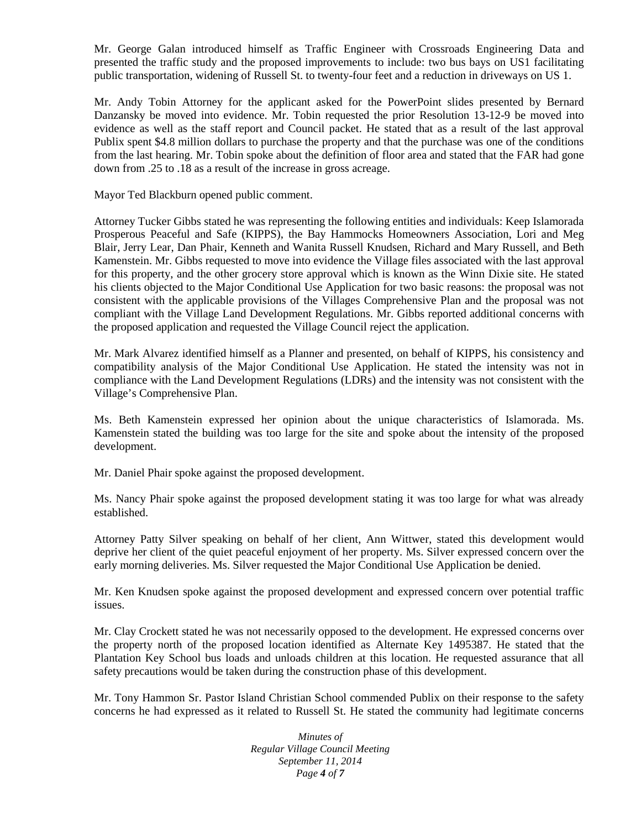Mr. George Galan introduced himself as Traffic Engineer with Crossroads Engineering Data and presented the traffic study and the proposed improvements to include: two bus bays on US1 facilitating public transportation, widening of Russell St. to twenty-four feet and a reduction in driveways on US 1.

Mr. Andy Tobin Attorney for the applicant asked for the PowerPoint slides presented by Bernard Danzansky be moved into evidence. Mr. Tobin requested the prior Resolution 13-12-9 be moved into evidence as well as the staff report and Council packet. He stated that as a result of the last approval Publix spent \$4.8 million dollars to purchase the property and that the purchase was one of the conditions from the last hearing. Mr. Tobin spoke about the definition of floor area and stated that the FAR had gone down from .25 to .18 as a result of the increase in gross acreage.

Mayor Ted Blackburn opened public comment.

Attorney Tucker Gibbs stated he was representing the following entities and individuals: Keep Islamorada Prosperous Peaceful and Safe (KIPPS), the Bay Hammocks Homeowners Association, Lori and Meg Blair, Jerry Lear, Dan Phair, Kenneth and Wanita Russell Knudsen, Richard and Mary Russell, and Beth Kamenstein. Mr. Gibbs requested to move into evidence the Village files associated with the last approval for this property, and the other grocery store approval which is known as the Winn Dixie site. He stated his clients objected to the Major Conditional Use Application for two basic reasons: the proposal was not consistent with the applicable provisions of the Villages Comprehensive Plan and the proposal was not compliant with the Village Land Development Regulations. Mr. Gibbs reported additional concerns with the proposed application and requested the Village Council reject the application.

Mr. Mark Alvarez identified himself as a Planner and presented, on behalf of KIPPS, his consistency and compatibility analysis of the Major Conditional Use Application. He stated the intensity was not in compliance with the Land Development Regulations (LDRs) and the intensity was not consistent with the Village's Comprehensive Plan.

Ms. Beth Kamenstein expressed her opinion about the unique characteristics of Islamorada. Ms. Kamenstein stated the building was too large for the site and spoke about the intensity of the proposed development.

Mr. Daniel Phair spoke against the proposed development.

Ms. Nancy Phair spoke against the proposed development stating it was too large for what was already established.

Attorney Patty Silver speaking on behalf of her client, Ann Wittwer, stated this development would deprive her client of the quiet peaceful enjoyment of her property. Ms. Silver expressed concern over the early morning deliveries. Ms. Silver requested the Major Conditional Use Application be denied.

Mr. Ken Knudsen spoke against the proposed development and expressed concern over potential traffic issues.

Mr. Clay Crockett stated he was not necessarily opposed to the development. He expressed concerns over the property north of the proposed location identified as Alternate Key 1495387. He stated that the Plantation Key School bus loads and unloads children at this location. He requested assurance that all safety precautions would be taken during the construction phase of this development.

Mr. Tony Hammon Sr. Pastor Island Christian School commended Publix on their response to the safety concerns he had expressed as it related to Russell St. He stated the community had legitimate concerns

> *Minutes of Regular Village Council Meeting September 11, 2014 Page 4 of 7*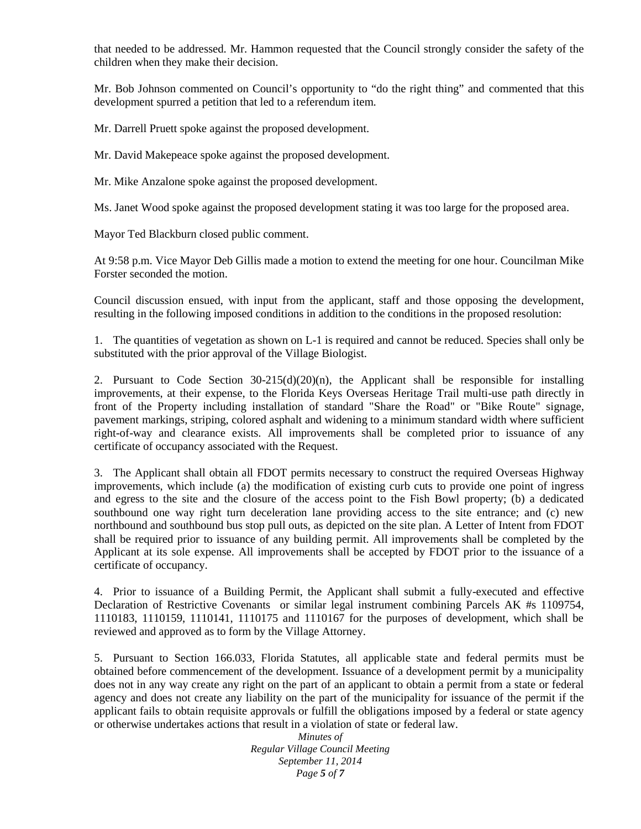that needed to be addressed. Mr. Hammon requested that the Council strongly consider the safety of the children when they make their decision.

Mr. Bob Johnson commented on Council's opportunity to "do the right thing" and commented that this development spurred a petition that led to a referendum item.

Mr. Darrell Pruett spoke against the proposed development.

Mr. David Makepeace spoke against the proposed development.

Mr. Mike Anzalone spoke against the proposed development.

Ms. Janet Wood spoke against the proposed development stating it was too large for the proposed area.

Mayor Ted Blackburn closed public comment.

At 9:58 p.m. Vice Mayor Deb Gillis made a motion to extend the meeting for one hour. Councilman Mike Forster seconded the motion.

Council discussion ensued, with input from the applicant, staff and those opposing the development, resulting in the following imposed conditions in addition to the conditions in the proposed resolution:

1. The quantities of vegetation as shown on L-1 is required and cannot be reduced. Species shall only be substituted with the prior approval of the Village Biologist.

2. Pursuant to Code Section 30-215(d)(20)(n), the Applicant shall be responsible for installing improvements, at their expense, to the Florida Keys Overseas Heritage Trail multi-use path directly in front of the Property including installation of standard "Share the Road" or "Bike Route" signage, pavement markings, striping, colored asphalt and widening to a minimum standard width where sufficient right-of-way and clearance exists. All improvements shall be completed prior to issuance of any certificate of occupancy associated with the Request.

3. The Applicant shall obtain all FDOT permits necessary to construct the required Overseas Highway improvements, which include (a) the modification of existing curb cuts to provide one point of ingress and egress to the site and the closure of the access point to the Fish Bowl property; (b) a dedicated southbound one way right turn deceleration lane providing access to the site entrance; and (c) new northbound and southbound bus stop pull outs, as depicted on the site plan. A Letter of Intent from FDOT shall be required prior to issuance of any building permit. All improvements shall be completed by the Applicant at its sole expense. All improvements shall be accepted by FDOT prior to the issuance of a certificate of occupancy.

4. Prior to issuance of a Building Permit, the Applicant shall submit a fully-executed and effective Declaration of Restrictive Covenants or similar legal instrument combining Parcels AK #s 1109754, 1110183, 1110159, 1110141, 1110175 and 1110167 for the purposes of development, which shall be reviewed and approved as to form by the Village Attorney.

5. Pursuant to Section 166.033, Florida Statutes, all applicable state and federal permits must be obtained before commencement of the development. Issuance of a development permit by a municipality does not in any way create any right on the part of an applicant to obtain a permit from a state or federal agency and does not create any liability on the part of the municipality for issuance of the permit if the applicant fails to obtain requisite approvals or fulfill the obligations imposed by a federal or state agency or otherwise undertakes actions that result in a violation of state or federal law.

*Minutes of Regular Village Council Meeting September 11, 2014 Page 5 of 7*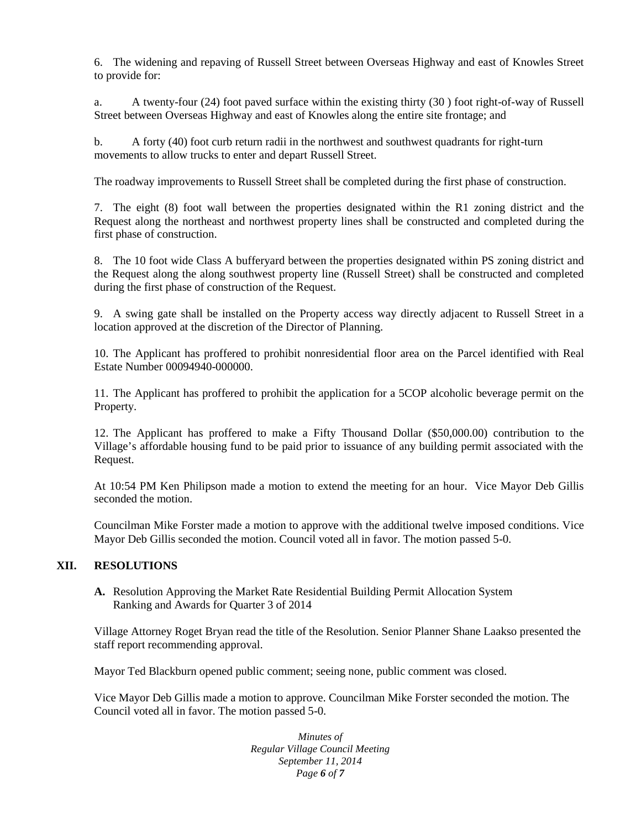6. The widening and repaving of Russell Street between Overseas Highway and east of Knowles Street to provide for:

a. A twenty-four (24) foot paved surface within the existing thirty (30 ) foot right-of-way of Russell Street between Overseas Highway and east of Knowles along the entire site frontage; and

b. A forty (40) foot curb return radii in the northwest and southwest quadrants for right-turn movements to allow trucks to enter and depart Russell Street.

The roadway improvements to Russell Street shall be completed during the first phase of construction.

7. The eight (8) foot wall between the properties designated within the R1 zoning district and the Request along the northeast and northwest property lines shall be constructed and completed during the first phase of construction.

8. The 10 foot wide Class A bufferyard between the properties designated within PS zoning district and the Request along the along southwest property line (Russell Street) shall be constructed and completed during the first phase of construction of the Request.

9. A swing gate shall be installed on the Property access way directly adjacent to Russell Street in a location approved at the discretion of the Director of Planning.

10. The Applicant has proffered to prohibit nonresidential floor area on the Parcel identified with Real Estate Number 00094940-000000.

11. The Applicant has proffered to prohibit the application for a 5COP alcoholic beverage permit on the Property.

12. The Applicant has proffered to make a Fifty Thousand Dollar (\$50,000.00) contribution to the Village's affordable housing fund to be paid prior to issuance of any building permit associated with the Request.

At 10:54 PM Ken Philipson made a motion to extend the meeting for an hour. Vice Mayor Deb Gillis seconded the motion.

Councilman Mike Forster made a motion to approve with the additional twelve imposed conditions. Vice Mayor Deb Gillis seconded the motion. Council voted all in favor. The motion passed 5-0.

### **XII. RESOLUTIONS**

**A.** Resolution Approving the Market Rate Residential Building Permit Allocation System Ranking and Awards for Quarter 3 of 2014

Village Attorney Roget Bryan read the title of the Resolution. Senior Planner Shane Laakso presented the staff report recommending approval.

Mayor Ted Blackburn opened public comment; seeing none, public comment was closed.

Vice Mayor Deb Gillis made a motion to approve. Councilman Mike Forster seconded the motion. The Council voted all in favor. The motion passed 5-0.

> *Minutes of Regular Village Council Meeting September 11, 2014 Page 6 of 7*